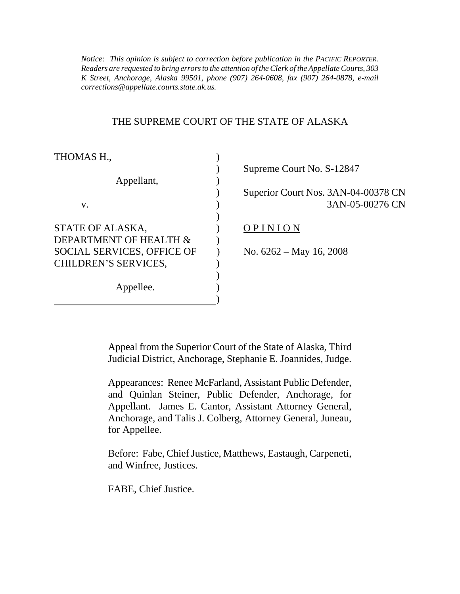*Notice: This opinion is subject to correction before publication in the PACIFIC REPORTER. Readers are requested to bring errors to the attention of the Clerk of the Appellate Courts, 303 K Street, Anchorage, Alaska 99501, phone (907) 264-0608, fax (907) 264-0878, e-mail corrections@appellate.courts.state.ak.us.*

#### THE SUPREME COURT OF THE STATE OF ALASKA

| THOMAS H.,                        |                                     |
|-----------------------------------|-------------------------------------|
|                                   | Supreme Court No. S-12847           |
| Appellant,                        |                                     |
|                                   | Superior Court Nos. 3AN-04-00378 CN |
| V.                                | 3AN-05-00276 CN                     |
|                                   |                                     |
| STATE OF ALASKA,                  | PINION                              |
| DEPARTMENT OF HEALTH &            |                                     |
| <b>SOCIAL SERVICES, OFFICE OF</b> | No. $6262 - May 16, 2008$           |
| CHILDREN'S SERVICES,              |                                     |
|                                   |                                     |
| Appellee.                         |                                     |
|                                   |                                     |

Appeal from the Superior Court of the State of Alaska, Third Judicial District, Anchorage, Stephanie E. Joannides, Judge.

Appearances: Renee McFarland, Assistant Public Defender, and Quinlan Steiner, Public Defender, Anchorage, for Appellant. James E. Cantor, Assistant Attorney General, Anchorage, and Talis J. Colberg, Attorney General, Juneau, for Appellee.

Before: Fabe, Chief Justice, Matthews, Eastaugh, Carpeneti, and Winfree, Justices.

FABE, Chief Justice.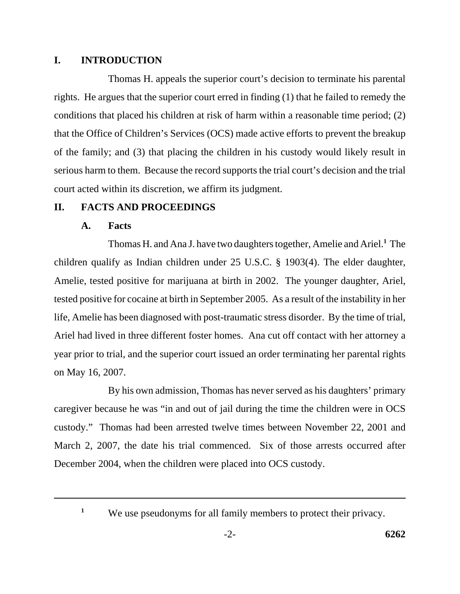### **I. INTRODUCTION**

Thomas H. appeals the superior court's decision to terminate his parental rights. He argues that the superior court erred in finding (1) that he failed to remedy the conditions that placed his children at risk of harm within a reasonable time period; (2) that the Office of Children's Services (OCS) made active efforts to prevent the breakup of the family; and (3) that placing the children in his custody would likely result in serious harm to them. Because the record supports the trial court's decision and the trial court acted within its discretion, we affirm its judgment.

# **II. FACTS AND PROCEEDINGS**

## **A. Facts**

Thomas H. and Ana J. have two daughters together, Amelie and Ariel.**<sup>1</sup>** The children qualify as Indian children under 25 U.S.C. § 1903(4). The elder daughter, Amelie, tested positive for marijuana at birth in 2002. The younger daughter, Ariel, tested positive for cocaine at birth in September 2005. As a result of the instability in her life, Amelie has been diagnosed with post-traumatic stress disorder. By the time of trial, Ariel had lived in three different foster homes. Ana cut off contact with her attorney a year prior to trial, and the superior court issued an order terminating her parental rights on May 16, 2007.

By his own admission, Thomas has never served as his daughters' primary caregiver because he was "in and out of jail during the time the children were in OCS custody." Thomas had been arrested twelve times between November 22, 2001 and March 2, 2007, the date his trial commenced. Six of those arrests occurred after December 2004, when the children were placed into OCS custody.

<sup>&</sup>lt;sup>1</sup> We use pseudonyms for all family members to protect their privacy.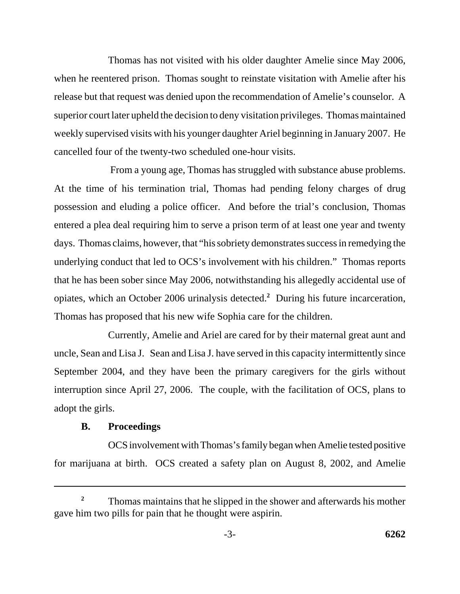Thomas has not visited with his older daughter Amelie since May 2006, when he reentered prison. Thomas sought to reinstate visitation with Amelie after his release but that request was denied upon the recommendation of Amelie's counselor. A superior court later upheld the decision to deny visitation privileges. Thomas maintained weekly supervised visits with his younger daughter Ariel beginning in January 2007. He cancelled four of the twenty-two scheduled one-hour visits.

 From a young age, Thomas has struggled with substance abuse problems. At the time of his termination trial, Thomas had pending felony charges of drug possession and eluding a police officer. And before the trial's conclusion, Thomas entered a plea deal requiring him to serve a prison term of at least one year and twenty days. Thomas claims, however, that "his sobriety demonstrates success in remedying the underlying conduct that led to OCS's involvement with his children." Thomas reports that he has been sober since May 2006, notwithstanding his allegedly accidental use of opiates, which an October 2006 urinalysis detected.**<sup>2</sup>** During his future incarceration, Thomas has proposed that his new wife Sophia care for the children.

Currently, Amelie and Ariel are cared for by their maternal great aunt and uncle, Sean and Lisa J. Sean and Lisa J. have served in this capacity intermittently since September 2004, and they have been the primary caregivers for the girls without interruption since April 27, 2006. The couple, with the facilitation of OCS, plans to adopt the girls.

#### **B. Proceedings**

OCS involvement with Thomas's family began when Amelie tested positive for marijuana at birth. OCS created a safety plan on August 8, 2002, and Amelie

<sup>&</sup>lt;sup>2</sup> Thomas maintains that he slipped in the shower and afterwards his mother gave him two pills for pain that he thought were aspirin.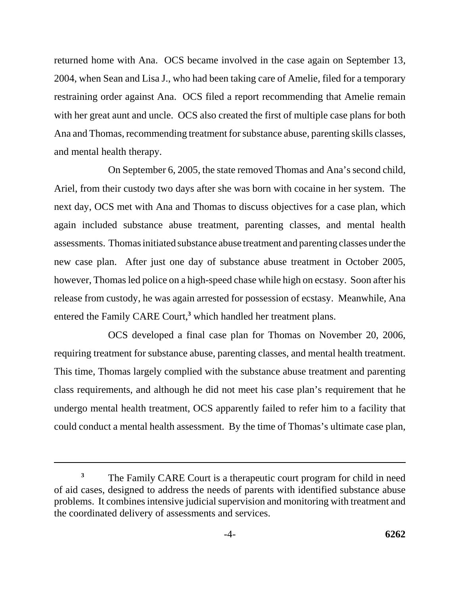returned home with Ana. OCS became involved in the case again on September 13, 2004, when Sean and Lisa J., who had been taking care of Amelie, filed for a temporary restraining order against Ana. OCS filed a report recommending that Amelie remain with her great aunt and uncle. OCS also created the first of multiple case plans for both Ana and Thomas, recommending treatment for substance abuse, parenting skills classes, and mental health therapy.

On September 6, 2005, the state removed Thomas and Ana's second child, Ariel, from their custody two days after she was born with cocaine in her system. The next day, OCS met with Ana and Thomas to discuss objectives for a case plan, which again included substance abuse treatment, parenting classes, and mental health assessments. Thomas initiated substance abuse treatment and parenting classes under the new case plan. After just one day of substance abuse treatment in October 2005, however, Thomas led police on a high-speed chase while high on ecstasy. Soon after his release from custody, he was again arrested for possession of ecstasy. Meanwhile, Ana entered the Family CARE Court,<sup>3</sup> which handled her treatment plans.

OCS developed a final case plan for Thomas on November 20, 2006, requiring treatment for substance abuse, parenting classes, and mental health treatment. This time, Thomas largely complied with the substance abuse treatment and parenting class requirements, and although he did not meet his case plan's requirement that he undergo mental health treatment, OCS apparently failed to refer him to a facility that could conduct a mental health assessment. By the time of Thomas's ultimate case plan,

<sup>&</sup>lt;sup>3</sup> The Family CARE Court is a therapeutic court program for child in need of aid cases, designed to address the needs of parents with identified substance abuse problems. It combines intensive judicial supervision and monitoring with treatment and the coordinated delivery of assessments and services.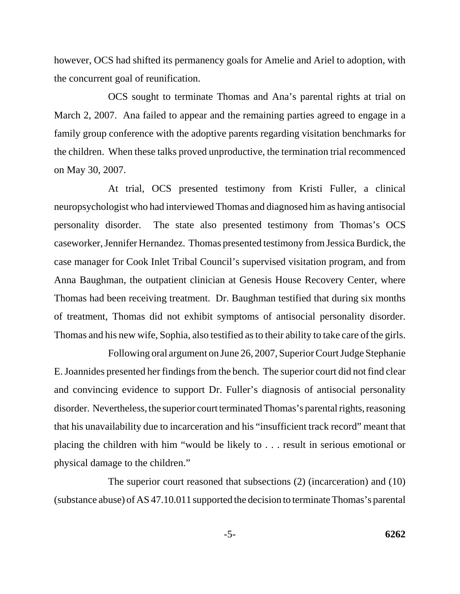however, OCS had shifted its permanency goals for Amelie and Ariel to adoption, with the concurrent goal of reunification.

OCS sought to terminate Thomas and Ana's parental rights at trial on March 2, 2007. Ana failed to appear and the remaining parties agreed to engage in a family group conference with the adoptive parents regarding visitation benchmarks for the children. When these talks proved unproductive, the termination trial recommenced on May 30, 2007.

At trial, OCS presented testimony from Kristi Fuller, a clinical neuropsychologist who had interviewed Thomas and diagnosed him as having antisocial personality disorder. The state also presented testimony from Thomas's OCS caseworker, Jennifer Hernandez. Thomas presented testimony from Jessica Burdick, the case manager for Cook Inlet Tribal Council's supervised visitation program, and from Anna Baughman, the outpatient clinician at Genesis House Recovery Center, where Thomas had been receiving treatment. Dr. Baughman testified that during six months of treatment, Thomas did not exhibit symptoms of antisocial personality disorder. Thomas and his new wife, Sophia, also testified as to their ability to take care of the girls.

Following oral argument on June 26, 2007, Superior Court Judge Stephanie E. Joannides presented her findings from the bench. The superior court did not find clear and convincing evidence to support Dr. Fuller's diagnosis of antisocial personality disorder. Nevertheless, the superior court terminated Thomas's parental rights, reasoning that his unavailability due to incarceration and his "insufficient track record" meant that placing the children with him "would be likely to . . . result in serious emotional or physical damage to the children."

The superior court reasoned that subsections (2) (incarceration) and (10) (substance abuse) of AS 47.10.011 supported the decision to terminate Thomas's parental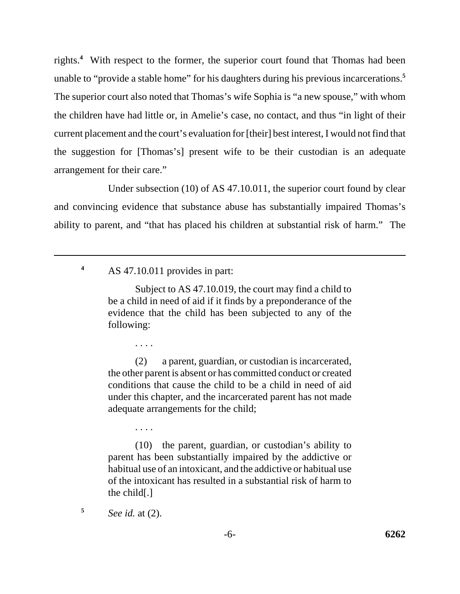rights.**<sup>4</sup>** With respect to the former, the superior court found that Thomas had been unable to "provide a stable home" for his daughters during his previous incarcerations.**<sup>5</sup>** The superior court also noted that Thomas's wife Sophia is "a new spouse," with whom the children have had little or, in Amelie's case, no contact, and thus "in light of their current placement and the court's evaluation for [their] best interest, I would not find that the suggestion for [Thomas's] present wife to be their custodian is an adequate arrangement for their care."

Under subsection (10) of AS 47.10.011, the superior court found by clear and convincing evidence that substance abuse has substantially impaired Thomas's ability to parent, and "that has placed his children at substantial risk of harm." The

**<sup>4</sup>** AS 47.10.011 provides in part:

Subject to AS 47.10.019, the court may find a child to be a child in need of aid if it finds by a preponderance of the evidence that the child has been subjected to any of the following:

(2) a parent, guardian, or custodian is incarcerated, the other parent is absent or has committed conduct or created conditions that cause the child to be a child in need of aid under this chapter, and the incarcerated parent has not made adequate arrangements for the child;

. . . .

. . . .

(10) the parent, guardian, or custodian's ability to parent has been substantially impaired by the addictive or habitual use of an intoxicant, and the addictive or habitual use of the intoxicant has resulted in a substantial risk of harm to the child[.]

**<sup>5</sup>** *See id.* at (2).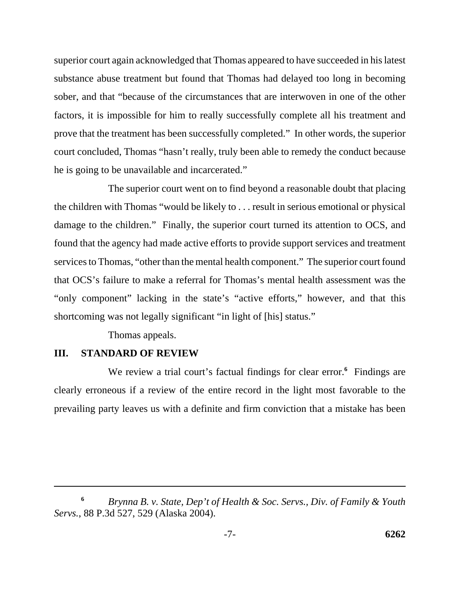superior court again acknowledged that Thomas appeared to have succeeded in his latest substance abuse treatment but found that Thomas had delayed too long in becoming sober, and that "because of the circumstances that are interwoven in one of the other factors, it is impossible for him to really successfully complete all his treatment and prove that the treatment has been successfully completed." In other words, the superior court concluded, Thomas "hasn't really, truly been able to remedy the conduct because he is going to be unavailable and incarcerated."

The superior court went on to find beyond a reasonable doubt that placing the children with Thomas "would be likely to . . . result in serious emotional or physical damage to the children." Finally, the superior court turned its attention to OCS, and found that the agency had made active efforts to provide support services and treatment services to Thomas, "other than the mental health component." The superior court found that OCS's failure to make a referral for Thomas's mental health assessment was the "only component" lacking in the state's "active efforts," however, and that this shortcoming was not legally significant "in light of [his] status."

Thomas appeals.

#### **III. STANDARD OF REVIEW**

We review a trial court's factual findings for clear error.<sup>6</sup> Findings are clearly erroneous if a review of the entire record in the light most favorable to the prevailing party leaves us with a definite and firm conviction that a mistake has been

**<sup>6</sup>** *Brynna B. v. State, Dep't of Health & Soc. Servs., Div. of Family & Youth Servs.*, 88 P.3d 527, 529 (Alaska 2004).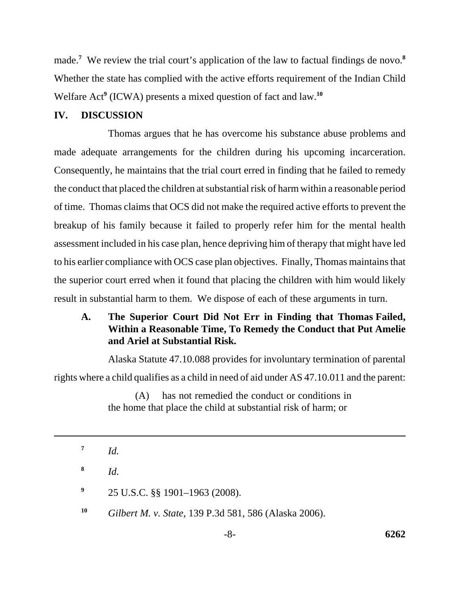made.**<sup>7</sup>** We review the trial court's application of the law to factual findings de novo.**<sup>8</sup>** Whether the state has complied with the active efforts requirement of the Indian Child Welfare Act**<sup>9</sup>** (ICWA) presents a mixed question of fact and law.**<sup>10</sup>**

### **IV. DISCUSSION**

Thomas argues that he has overcome his substance abuse problems and made adequate arrangements for the children during his upcoming incarceration. Consequently, he maintains that the trial court erred in finding that he failed to remedy the conduct that placed the children at substantial risk of harm within a reasonable period of time. Thomas claims that OCS did not make the required active efforts to prevent the breakup of his family because it failed to properly refer him for the mental health assessment included in his case plan, hence depriving him of therapy that might have led to his earlier compliance with OCS case plan objectives. Finally, Thomas maintains that the superior court erred when it found that placing the children with him would likely result in substantial harm to them. We dispose of each of these arguments in turn.

# **A. The Superior Court Did Not Err in Finding that Thomas Failed, Within a Reasonable Time, To Remedy the Conduct that Put Amelie and Ariel at Substantial Risk.**

Alaska Statute 47.10.088 provides for involuntary termination of parental rights where a child qualifies as a child in need of aid under AS 47.10.011 and the parent:

> (A) has not remedied the conduct or conditions in the home that place the child at substantial risk of harm; or

**<sup>8</sup>** *Id.* 

**<sup>9</sup>** 25 U.S.C. §§ 1901–1963 (2008).

**<sup>10</sup>** *Gilbert M. v. State*, 139 P.3d 581, 586 (Alaska 2006).

 $7$  *Id.*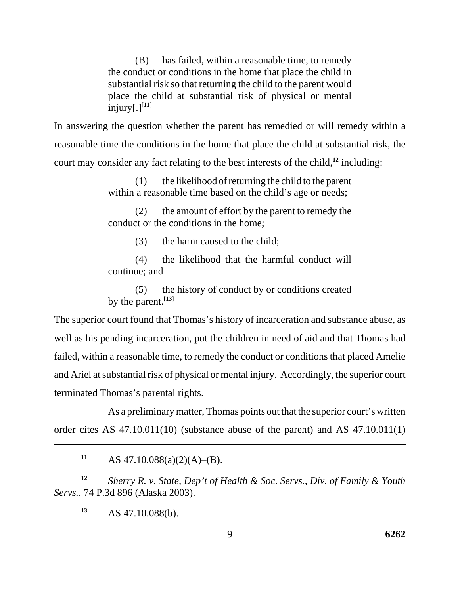(B) has failed, within a reasonable time, to remedy the conduct or conditions in the home that place the child in substantial risk so that returning the child to the parent would place the child at substantial risk of physical or mental  $injury[.]<sup>[11]</sup>$ 

In answering the question whether the parent has remedied or will remedy within a reasonable time the conditions in the home that place the child at substantial risk, the court may consider any fact relating to the best interests of the child,**<sup>12</sup>** including:

> (1) the likelihood of returning the child to the parent within a reasonable time based on the child's age or needs;

> (2) the amount of effort by the parent to remedy the conduct or the conditions in the home;

> > (3) the harm caused to the child;

(4) the likelihood that the harmful conduct will continue; and

(5) the history of conduct by or conditions created by the parent.[**13**]

The superior court found that Thomas's history of incarceration and substance abuse, as well as his pending incarceration, put the children in need of aid and that Thomas had failed, within a reasonable time, to remedy the conduct or conditions that placed Amelie and Ariel at substantial risk of physical or mental injury. Accordingly, the superior court terminated Thomas's parental rights.

As a preliminary matter, Thomas points out that the superior court's written order cites AS 47.10.011(10) (substance abuse of the parent) and AS 47.10.011(1)

**<sup>11</sup>** AS 47.10.088(a)(2)(A)–(B).

**<sup>12</sup>** *Sherry R. v. State, Dep't of Health & Soc. Servs., Div. of Family & Youth Servs.*, 74 P.3d 896 (Alaska 2003).

**<sup>13</sup>** AS 47.10.088(b).

-9- **6262**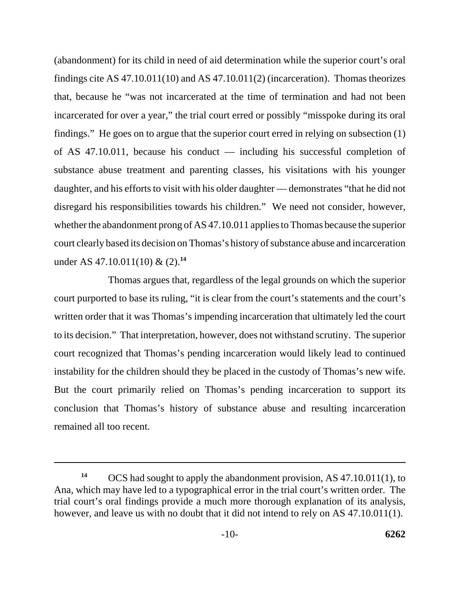(abandonment) for its child in need of aid determination while the superior court's oral findings cite AS 47.10.011(10) and AS 47.10.011(2) (incarceration). Thomas theorizes that, because he "was not incarcerated at the time of termination and had not been incarcerated for over a year," the trial court erred or possibly "misspoke during its oral findings." He goes on to argue that the superior court erred in relying on subsection (1) of AS 47.10.011, because his conduct — including his successful completion of substance abuse treatment and parenting classes, his visitations with his younger daughter, and his efforts to visit with his older daughter — demonstrates "that he did not disregard his responsibilities towards his children." We need not consider, however, whether the abandonment prong of AS 47.10.011 applies to Thomas because the superior court clearly based its decision on Thomas's history of substance abuse and incarceration under AS 47.10.011(10) & (2).**<sup>14</sup>**

Thomas argues that, regardless of the legal grounds on which the superior court purported to base its ruling, "it is clear from the court's statements and the court's written order that it was Thomas's impending incarceration that ultimately led the court to its decision." That interpretation, however, does not withstand scrutiny. The superior court recognized that Thomas's pending incarceration would likely lead to continued instability for the children should they be placed in the custody of Thomas's new wife. But the court primarily relied on Thomas's pending incarceration to support its conclusion that Thomas's history of substance abuse and resulting incarceration remained all too recent.

**<sup>14</sup>** OCS had sought to apply the abandonment provision, AS 47.10.011(1), to Ana, which may have led to a typographical error in the trial court's written order. The trial court's oral findings provide a much more thorough explanation of its analysis, however, and leave us with no doubt that it did not intend to rely on AS 47.10.011(1).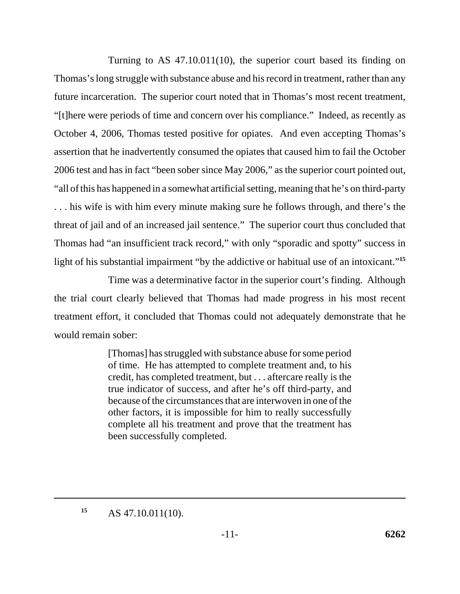Turning to AS 47.10.011(10), the superior court based its finding on Thomas's long struggle with substance abuse and his record in treatment, rather than any future incarceration. The superior court noted that in Thomas's most recent treatment, "[t]here were periods of time and concern over his compliance." Indeed, as recently as October 4, 2006, Thomas tested positive for opiates. And even accepting Thomas's assertion that he inadvertently consumed the opiates that caused him to fail the October 2006 test and has in fact "been sober since May 2006," as the superior court pointed out, "all of this has happened in a somewhat artificial setting, meaning that he's on third-party . . . his wife is with him every minute making sure he follows through, and there's the threat of jail and of an increased jail sentence." The superior court thus concluded that Thomas had "an insufficient track record," with only "sporadic and spotty" success in light of his substantial impairment "by the addictive or habitual use of an intoxicant."**<sup>15</sup>**

Time was a determinative factor in the superior court's finding. Although the trial court clearly believed that Thomas had made progress in his most recent treatment effort, it concluded that Thomas could not adequately demonstrate that he would remain sober:

> [Thomas] has struggled with substance abuse for some period of time. He has attempted to complete treatment and, to his credit, has completed treatment, but . . . aftercare really is the true indicator of success, and after he's off third-party, and because of the circumstances that are interwoven in one of the other factors, it is impossible for him to really successfully complete all his treatment and prove that the treatment has been successfully completed.

**<sup>15</sup>** AS 47.10.011(10).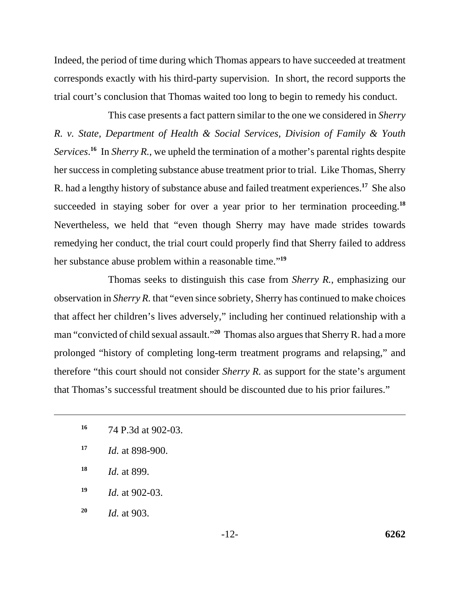Indeed, the period of time during which Thomas appears to have succeeded at treatment corresponds exactly with his third-party supervision. In short, the record supports the trial court's conclusion that Thomas waited too long to begin to remedy his conduct.

This case presents a fact pattern similar to the one we considered in *Sherry R. v. State, Department of Health & Social Services, Division of Family & Youth Services*. **<sup>16</sup>** In *Sherry R.*, we upheld the termination of a mother's parental rights despite her success in completing substance abuse treatment prior to trial. Like Thomas, Sherry R. had a lengthy history of substance abuse and failed treatment experiences.**<sup>17</sup>** She also succeeded in staying sober for over a year prior to her termination proceeding.**<sup>18</sup>** Nevertheless, we held that "even though Sherry may have made strides towards remedying her conduct, the trial court could properly find that Sherry failed to address her substance abuse problem within a reasonable time."**<sup>19</sup>**

Thomas seeks to distinguish this case from *Sherry R.*, emphasizing our observation in *Sherry R.* that "even since sobriety, Sherry has continued to make choices that affect her children's lives adversely," including her continued relationship with a man "convicted of child sexual assault."**<sup>20</sup>** Thomas also argues that Sherry R. had a more prolonged "history of completing long-term treatment programs and relapsing," and therefore "this court should not consider *Sherry R.* as support for the state's argument that Thomas's successful treatment should be discounted due to his prior failures."

- **<sup>17</sup>** *Id.* at 898-900.
- **<sup>18</sup>** *Id.* at 899.
- **<sup>19</sup>** *Id.* at 902-03.
- **<sup>20</sup>** *Id.* at 903.

**<sup>16</sup>** 74 P.3d at 902-03.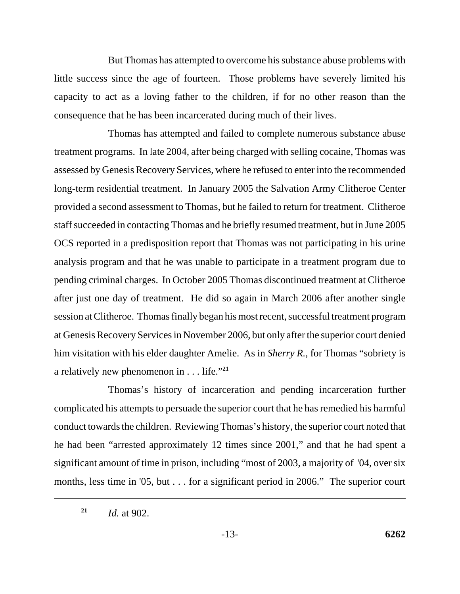But Thomas has attempted to overcome his substance abuse problems with little success since the age of fourteen. Those problems have severely limited his capacity to act as a loving father to the children, if for no other reason than the consequence that he has been incarcerated during much of their lives.

Thomas has attempted and failed to complete numerous substance abuse treatment programs. In late 2004, after being charged with selling cocaine, Thomas was assessed by Genesis Recovery Services, where he refused to enter into the recommended long-term residential treatment. In January 2005 the Salvation Army Clitheroe Center provided a second assessment to Thomas, but he failed to return for treatment. Clitheroe staff succeeded in contacting Thomas and he briefly resumed treatment, but in June 2005 OCS reported in a predisposition report that Thomas was not participating in his urine analysis program and that he was unable to participate in a treatment program due to pending criminal charges. In October 2005 Thomas discontinued treatment at Clitheroe after just one day of treatment. He did so again in March 2006 after another single session at Clitheroe. Thomas finally began his most recent, successful treatment program at Genesis Recovery Services in November 2006, but only after the superior court denied him visitation with his elder daughter Amelie. As in *Sherry R.*, for Thomas "sobriety is a relatively new phenomenon in . . . life."**<sup>21</sup>**

Thomas's history of incarceration and pending incarceration further complicated his attempts to persuade the superior court that he has remedied his harmful conduct towards the children. Reviewing Thomas's history, the superior court noted that he had been "arrested approximately 12 times since 2001," and that he had spent a significant amount of time in prison, including "most of 2003, a majority of '04, over six months, less time in '05, but . . . for a significant period in 2006." The superior court

**<sup>21</sup>** *Id.* at 902.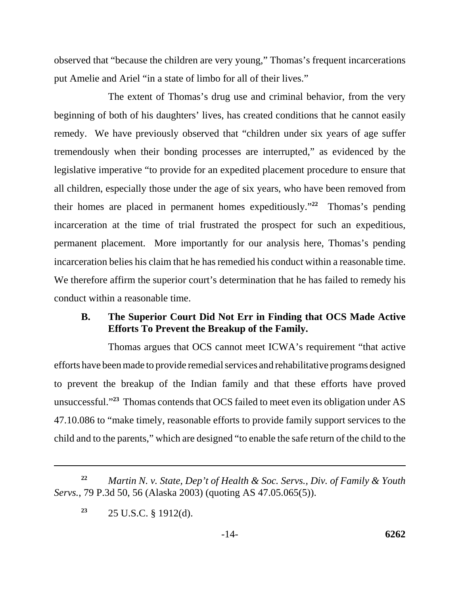observed that "because the children are very young," Thomas's frequent incarcerations put Amelie and Ariel "in a state of limbo for all of their lives."

The extent of Thomas's drug use and criminal behavior, from the very beginning of both of his daughters' lives, has created conditions that he cannot easily remedy. We have previously observed that "children under six years of age suffer tremendously when their bonding processes are interrupted," as evidenced by the legislative imperative "to provide for an expedited placement procedure to ensure that all children, especially those under the age of six years, who have been removed from their homes are placed in permanent homes expeditiously."**<sup>22</sup>** Thomas's pending incarceration at the time of trial frustrated the prospect for such an expeditious, permanent placement. More importantly for our analysis here, Thomas's pending incarceration belies his claim that he has remedied his conduct within a reasonable time. We therefore affirm the superior court's determination that he has failed to remedy his conduct within a reasonable time.

#### **B. The Superior Court Did Not Err in Finding that OCS Made Active Efforts To Prevent the Breakup of the Family.**

Thomas argues that OCS cannot meet ICWA's requirement "that active efforts have been made to provide remedial services and rehabilitative programs designed to prevent the breakup of the Indian family and that these efforts have proved unsuccessful."**<sup>23</sup>** Thomas contends that OCS failed to meet even its obligation under AS 47.10.086 to "make timely, reasonable efforts to provide family support services to the child and to the parents," which are designed "to enable the safe return of the child to the

**<sup>22</sup>** *Martin N. v. State, Dep't of Health & Soc. Servs., Div. of Family & Youth Servs.*, 79 P.3d 50, 56 (Alaska 2003) (quoting AS 47.05.065(5)).

**<sup>23</sup>** 25 U.S.C. § 1912(d).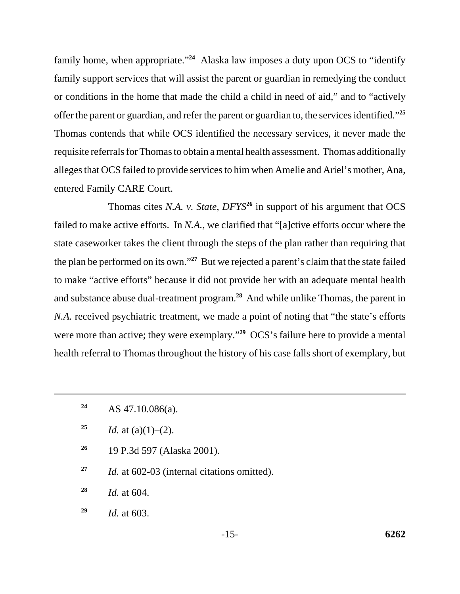family home, when appropriate."**<sup>24</sup>** Alaska law imposes a duty upon OCS to "identify family support services that will assist the parent or guardian in remedying the conduct or conditions in the home that made the child a child in need of aid," and to "actively offer the parent or guardian, and refer the parent or guardian to, the services identified."**<sup>25</sup>** Thomas contends that while OCS identified the necessary services, it never made the requisite referrals for Thomas to obtain a mental health assessment. Thomas additionally alleges that OCS failed to provide services to him when Amelie and Ariel's mother, Ana, entered Family CARE Court.

Thomas cites *N.A. v. State, DFYS***<sup>26</sup>** in support of his argument that OCS failed to make active efforts. In *N.A.*, we clarified that "[a]ctive efforts occur where the state caseworker takes the client through the steps of the plan rather than requiring that the plan be performed on its own."**<sup>27</sup>** But we rejected a parent's claim that the state failed to make "active efforts" because it did not provide her with an adequate mental health and substance abuse dual-treatment program.**<sup>28</sup>** And while unlike Thomas, the parent in *N.A.* received psychiatric treatment, we made a point of noting that "the state's efforts" were more than active; they were exemplary.<sup>"29</sup> OCS's failure here to provide a mental health referral to Thomas throughout the history of his case falls short of exemplary, but

- <sup>25</sup> *Id.* at (a)(1)–(2).
- **<sup>26</sup>** 19 P.3d 597 (Alaska 2001).
- **<sup>27</sup>** *Id.* at 602-03 (internal citations omitted).
- **<sup>28</sup>** *Id.* at 604.
- **<sup>29</sup>** *Id.* at 603.

**<sup>24</sup>** AS 47.10.086(a).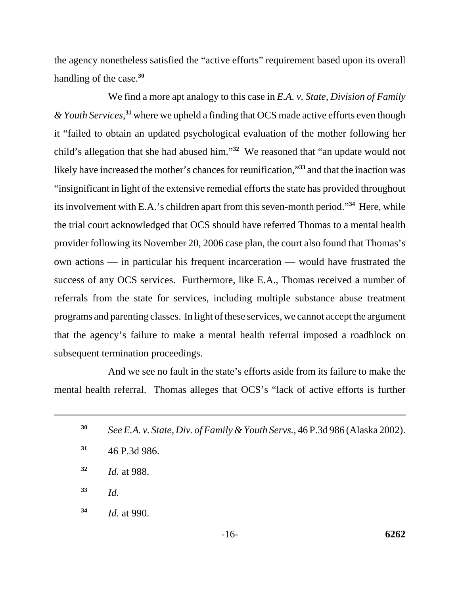the agency nonetheless satisfied the "active efforts" requirement based upon its overall handling of the case.**<sup>30</sup>**

We find a more apt analogy to this case in *E.A. v. State, Division of Family & Youth Services*, **<sup>31</sup>** where we upheld a finding that OCS made active efforts even though it "failed to obtain an updated psychological evaluation of the mother following her child's allegation that she had abused him."**<sup>32</sup>** We reasoned that "an update would not likely have increased the mother's chances for reunification,"**<sup>33</sup>** and that the inaction was "insignificant in light of the extensive remedial efforts the state has provided throughout its involvement with E.A.'s children apart from this seven-month period."**<sup>34</sup>** Here, while the trial court acknowledged that OCS should have referred Thomas to a mental health provider following its November 20, 2006 case plan, the court also found that Thomas's own actions — in particular his frequent incarceration — would have frustrated the success of any OCS services. Furthermore, like E.A., Thomas received a number of referrals from the state for services, including multiple substance abuse treatment programs and parenting classes. In light of these services, we cannot accept the argument that the agency's failure to make a mental health referral imposed a roadblock on subsequent termination proceedings.

And we see no fault in the state's efforts aside from its failure to make the mental health referral. Thomas alleges that OCS's "lack of active efforts is further

- **<sup>30</sup>** *See E.A. v. State, Div. of Family & Youth Servs.*, 46 P.3d 986 (Alaska 2002).
- **<sup>31</sup>** 46 P.3d 986.
- **<sup>32</sup>** *Id.* at 988.
- **<sup>33</sup>** *Id.*
- **<sup>34</sup>** *Id.* at 990.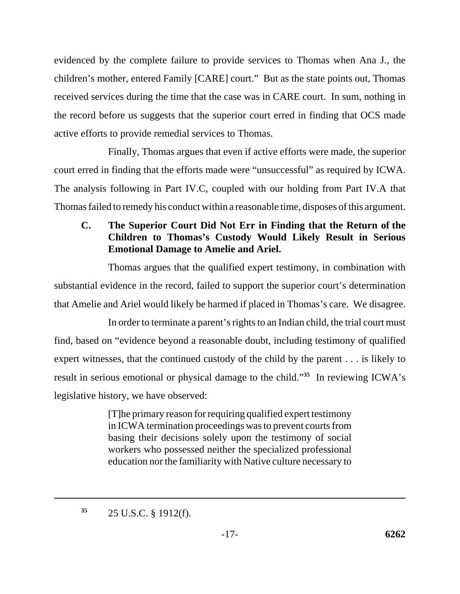evidenced by the complete failure to provide services to Thomas when Ana J., the children's mother, entered Family [CARE] court." But as the state points out, Thomas received services during the time that the case was in CARE court. In sum, nothing in the record before us suggests that the superior court erred in finding that OCS made active efforts to provide remedial services to Thomas.

Finally, Thomas argues that even if active efforts were made, the superior court erred in finding that the efforts made were "unsuccessful" as required by ICWA. The analysis following in Part IV.C, coupled with our holding from Part IV.A that Thomas failed to remedy his conduct within a reasonable time, disposes of this argument.

# **C. The Superior Court Did Not Err in Finding that the Return of the Children to Thomas's Custody Would Likely Result in Serious Emotional Damage to Amelie and Ariel.**

Thomas argues that the qualified expert testimony, in combination with substantial evidence in the record, failed to support the superior court's determination that Amelie and Ariel would likely be harmed if placed in Thomas's care. We disagree.

In order to terminate a parent's rights to an Indian child, the trial court must find, based on "evidence beyond a reasonable doubt, including testimony of qualified expert witnesses, that the continued custody of the child by the parent . . . is likely to result in serious emotional or physical damage to the child."**<sup>35</sup>** In reviewing ICWA's legislative history, we have observed:

> [T]he primary reason for requiring qualified expert testimony in ICWA termination proceedings was to prevent courts from basing their decisions solely upon the testimony of social workers who possessed neither the specialized professional education nor the familiarity with Native culture necessary to

**<sup>35</sup>** 25 U.S.C. § 1912(f).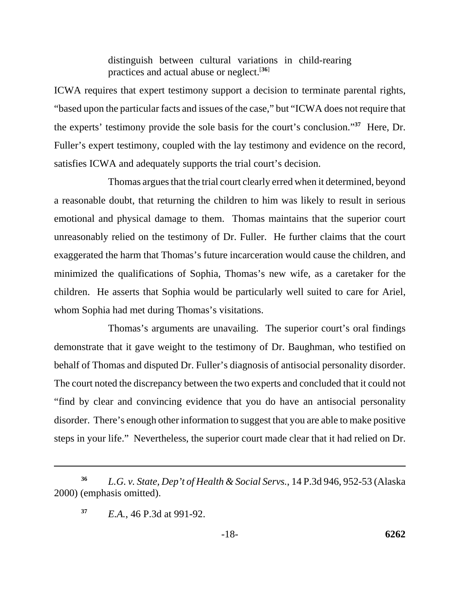distinguish between cultural variations in child-rearing practices and actual abuse or neglect.[**36**]

ICWA requires that expert testimony support a decision to terminate parental rights, "based upon the particular facts and issues of the case," but "ICWA does not require that the experts' testimony provide the sole basis for the court's conclusion."**<sup>37</sup>** Here, Dr. Fuller's expert testimony, coupled with the lay testimony and evidence on the record, satisfies ICWA and adequately supports the trial court's decision.

Thomas argues that the trial court clearly erred when it determined, beyond a reasonable doubt, that returning the children to him was likely to result in serious emotional and physical damage to them. Thomas maintains that the superior court unreasonably relied on the testimony of Dr. Fuller. He further claims that the court exaggerated the harm that Thomas's future incarceration would cause the children, and minimized the qualifications of Sophia, Thomas's new wife, as a caretaker for the children. He asserts that Sophia would be particularly well suited to care for Ariel, whom Sophia had met during Thomas's visitations.

Thomas's arguments are unavailing. The superior court's oral findings demonstrate that it gave weight to the testimony of Dr. Baughman, who testified on behalf of Thomas and disputed Dr. Fuller's diagnosis of antisocial personality disorder. The court noted the discrepancy between the two experts and concluded that it could not "find by clear and convincing evidence that you do have an antisocial personality disorder. There's enough other information to suggest that you are able to make positive steps in your life." Nevertheless, the superior court made clear that it had relied on Dr.

**<sup>36</sup>** *L.G. v. State, Dep't of Health & Social Servs.*, 14 P.3d 946, 952-53 (Alaska 2000) (emphasis omitted).

**<sup>37</sup>** *E.A.*, 46 P.3d at 991-92.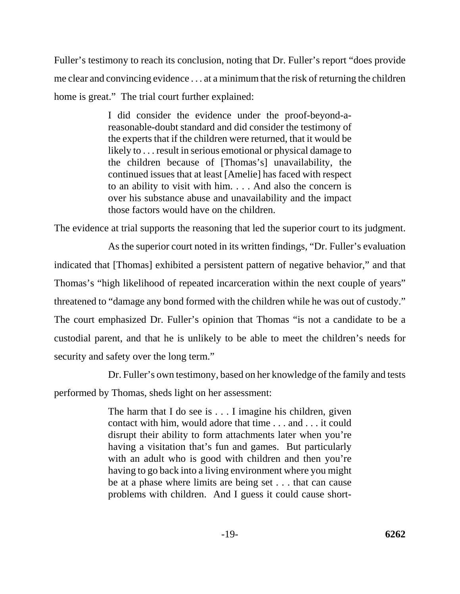Fuller's testimony to reach its conclusion, noting that Dr. Fuller's report "does provide me clear and convincing evidence . . . at a minimum that the risk of returning the children home is great." The trial court further explained:

> I did consider the evidence under the proof-beyond-areasonable-doubt standard and did consider the testimony of the experts that if the children were returned, that it would be likely to . . . result in serious emotional or physical damage to the children because of [Thomas's] unavailability, the continued issues that at least [Amelie] has faced with respect to an ability to visit with him. . . . And also the concern is over his substance abuse and unavailability and the impact those factors would have on the children.

The evidence at trial supports the reasoning that led the superior court to its judgment.

As the superior court noted in its written findings, "Dr. Fuller's evaluation indicated that [Thomas] exhibited a persistent pattern of negative behavior," and that Thomas's "high likelihood of repeated incarceration within the next couple of years" threatened to "damage any bond formed with the children while he was out of custody." The court emphasized Dr. Fuller's opinion that Thomas "is not a candidate to be a custodial parent, and that he is unlikely to be able to meet the children's needs for security and safety over the long term."

Dr. Fuller's own testimony, based on her knowledge of the family and tests performed by Thomas, sheds light on her assessment:

> The harm that I do see is . . . I imagine his children, given contact with him, would adore that time . . . and . . . it could disrupt their ability to form attachments later when you're having a visitation that's fun and games. But particularly with an adult who is good with children and then you're having to go back into a living environment where you might be at a phase where limits are being set . . . that can cause problems with children. And I guess it could cause short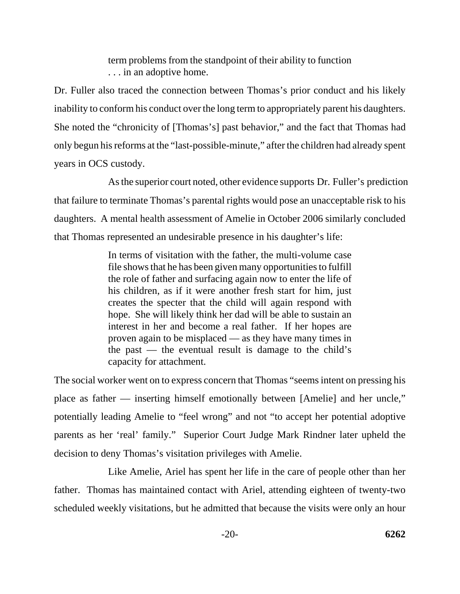term problems from the standpoint of their ability to function . . . in an adoptive home.

Dr. Fuller also traced the connection between Thomas's prior conduct and his likely inability to conform his conduct over the long term to appropriately parent his daughters. She noted the "chronicity of [Thomas's] past behavior," and the fact that Thomas had only begun his reforms at the "last-possible-minute," after the children had already spent years in OCS custody.

 As the superior court noted, other evidence supports Dr. Fuller's prediction that failure to terminate Thomas's parental rights would pose an unacceptable risk to his daughters. A mental health assessment of Amelie in October 2006 similarly concluded that Thomas represented an undesirable presence in his daughter's life:

> In terms of visitation with the father, the multi-volume case file shows that he has been given many opportunities to fulfill the role of father and surfacing again now to enter the life of his children, as if it were another fresh start for him, just creates the specter that the child will again respond with hope. She will likely think her dad will be able to sustain an interest in her and become a real father. If her hopes are proven again to be misplaced — as they have many times in the past — the eventual result is damage to the child's capacity for attachment.

The social worker went on to express concern that Thomas "seems intent on pressing his place as father — inserting himself emotionally between [Amelie] and her uncle," potentially leading Amelie to "feel wrong" and not "to accept her potential adoptive parents as her 'real' family." Superior Court Judge Mark Rindner later upheld the decision to deny Thomas's visitation privileges with Amelie.

Like Amelie, Ariel has spent her life in the care of people other than her father. Thomas has maintained contact with Ariel, attending eighteen of twenty-two scheduled weekly visitations, but he admitted that because the visits were only an hour